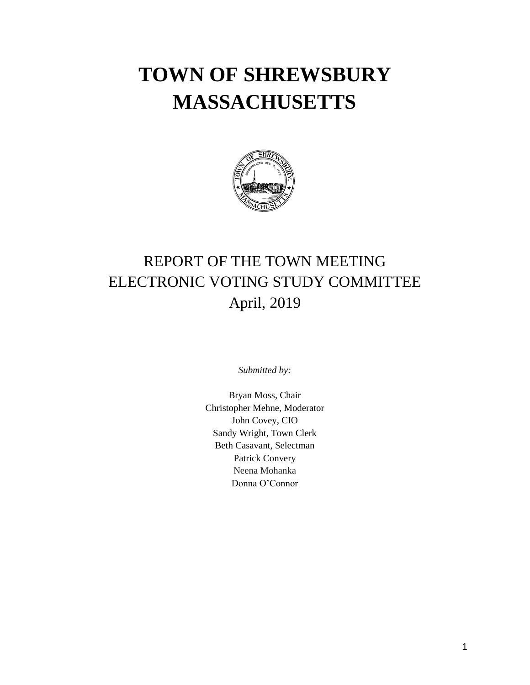# **TOWN OF SHREWSBURY MASSACHUSETTS**



### REPORT OF THE TOWN MEETING ELECTRONIC VOTING STUDY COMMITTEE April, 2019

*Submitted by:*

Bryan Moss, Chair Christopher Mehne, Moderator John Covey, CIO Sandy Wright, Town Clerk Beth Casavant, Selectman Patrick Convery Neena Mohanka Donna O'Connor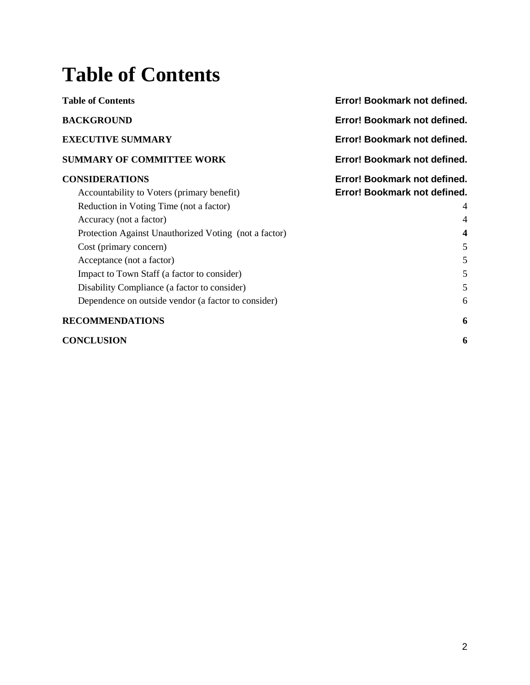## **Table of Contents**

| <b>Table of Contents</b>                              | Error! Bookmark not defined. |
|-------------------------------------------------------|------------------------------|
| <b>BACKGROUND</b>                                     | Error! Bookmark not defined. |
| <b>EXECUTIVE SUMMARY</b>                              | Error! Bookmark not defined. |
| <b>SUMMARY OF COMMITTEE WORK</b>                      | Error! Bookmark not defined. |
| <b>CONSIDERATIONS</b>                                 | Error! Bookmark not defined. |
| Accountability to Voters (primary benefit)            | Error! Bookmark not defined. |
| Reduction in Voting Time (not a factor)               |                              |
| Accuracy (not a factor)                               | $\overline{4}$               |
| Protection Against Unauthorized Voting (not a factor) | $\boldsymbol{4}$             |
| Cost (primary concern)                                | 5                            |
| Acceptance (not a factor)                             | 5                            |
| Impact to Town Staff (a factor to consider)           | 5                            |
| Disability Compliance (a factor to consider)          | 5                            |
| Dependence on outside vendor (a factor to consider)   | 6                            |
| <b>RECOMMENDATIONS</b>                                | 6                            |
| <b>CONCLUSION</b>                                     | 6                            |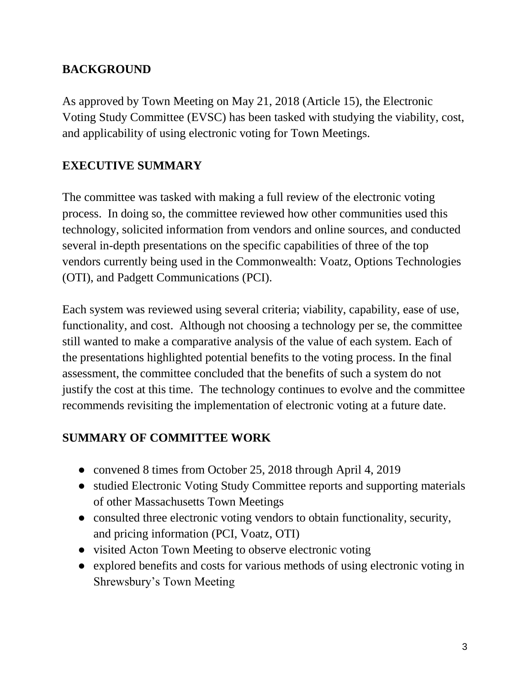#### **BACKGROUND**

As approved by Town Meeting on May 21, 2018 (Article 15), the Electronic Voting Study Committee (EVSC) has been tasked with studying the viability, cost, and applicability of using electronic voting for Town Meetings.

#### **EXECUTIVE SUMMARY**

The committee was tasked with making a full review of the electronic voting process. In doing so, the committee reviewed how other communities used this technology, solicited information from vendors and online sources, and conducted several in-depth presentations on the specific capabilities of three of the top vendors currently being used in the Commonwealth: Voatz, Options Technologies (OTI), and Padgett Communications (PCI).

Each system was reviewed using several criteria; viability, capability, ease of use, functionality, and cost. Although not choosing a technology per se, the committee still wanted to make a comparative analysis of the value of each system. Each of the presentations highlighted potential benefits to the voting process. In the final assessment, the committee concluded that the benefits of such a system do not justify the cost at this time. The technology continues to evolve and the committee recommends revisiting the implementation of electronic voting at a future date.

#### **SUMMARY OF COMMITTEE WORK**

- convened 8 times from October 25, 2018 through April 4, 2019
- studied Electronic Voting Study Committee reports and supporting materials of other Massachusetts Town Meetings
- consulted three electronic voting vendors to obtain functionality, security, and pricing information (PCI, Voatz, OTI)
- visited Acton Town Meeting to observe electronic voting
- explored benefits and costs for various methods of using electronic voting in Shrewsbury's Town Meeting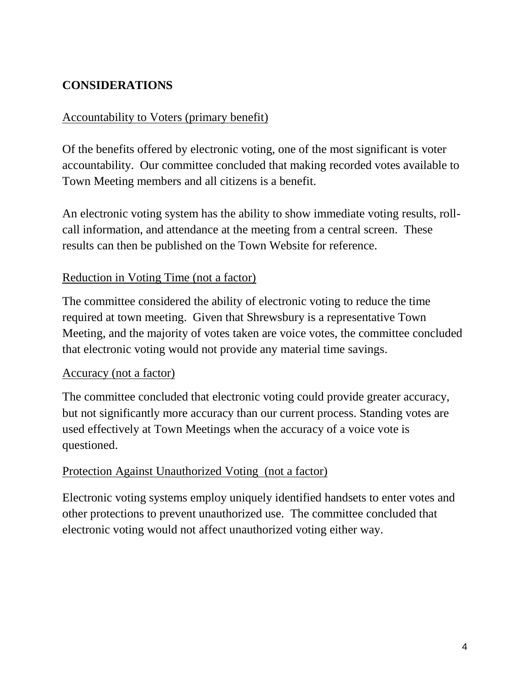#### **CONSIDERATIONS**

#### Accountability to Voters (primary benefit)

Of the benefits offered by electronic voting, one of the most significant is voter accountability. Our committee concluded that making recorded votes available to Town Meeting members and all citizens is a benefit.

An electronic voting system has the ability to show immediate voting results, rollcall information, and attendance at the meeting from a central screen. These results can then be published on the Town Website for reference.

#### Reduction in Voting Time (not a factor)

The committee considered the ability of electronic voting to reduce the time required at town meeting. Given that Shrewsbury is a representative Town Meeting, and the majority of votes taken are voice votes, the committee concluded that electronic voting would not provide any material time savings.

#### Accuracy (not a factor)

The committee concluded that electronic voting could provide greater accuracy, but not significantly more accuracy than our current process. Standing votes are used effectively at Town Meetings when the accuracy of a voice vote is questioned.

#### Protection Against Unauthorized Voting (not a factor)

Electronic voting systems employ uniquely identified handsets to enter votes and other protections to prevent unauthorized use. The committee concluded that electronic voting would not affect unauthorized voting either way.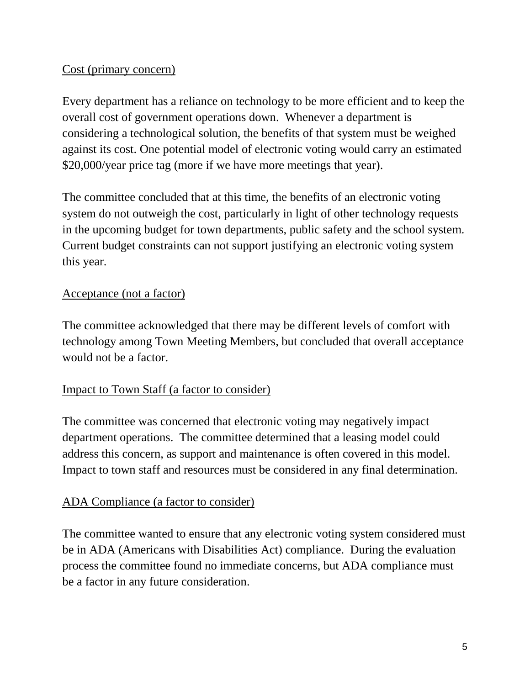#### Cost (primary concern)

Every department has a reliance on technology to be more efficient and to keep the overall cost of government operations down. Whenever a department is considering a technological solution, the benefits of that system must be weighed against its cost. One potential model of electronic voting would carry an estimated \$20,000/year price tag (more if we have more meetings that year).

The committee concluded that at this time, the benefits of an electronic voting system do not outweigh the cost, particularly in light of other technology requests in the upcoming budget for town departments, public safety and the school system. Current budget constraints can not support justifying an electronic voting system this year.

#### Acceptance (not a factor)

The committee acknowledged that there may be different levels of comfort with technology among Town Meeting Members, but concluded that overall acceptance would not be a factor.

#### Impact to Town Staff (a factor to consider)

The committee was concerned that electronic voting may negatively impact department operations. The committee determined that a leasing model could address this concern, as support and maintenance is often covered in this model. Impact to town staff and resources must be considered in any final determination.

#### ADA Compliance (a factor to consider)

The committee wanted to ensure that any electronic voting system considered must be in ADA (Americans with Disabilities Act) compliance. During the evaluation process the committee found no immediate concerns, but ADA compliance must be a factor in any future consideration.